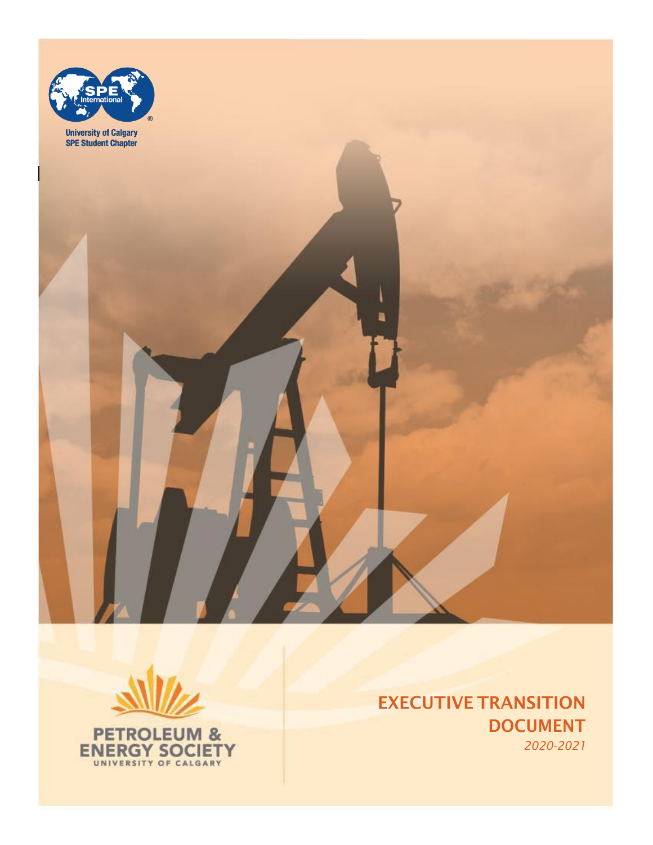



**ENERGY SOCIETY** 

EXECUTIVE TRANSITION DOCUMENT *2020-2021*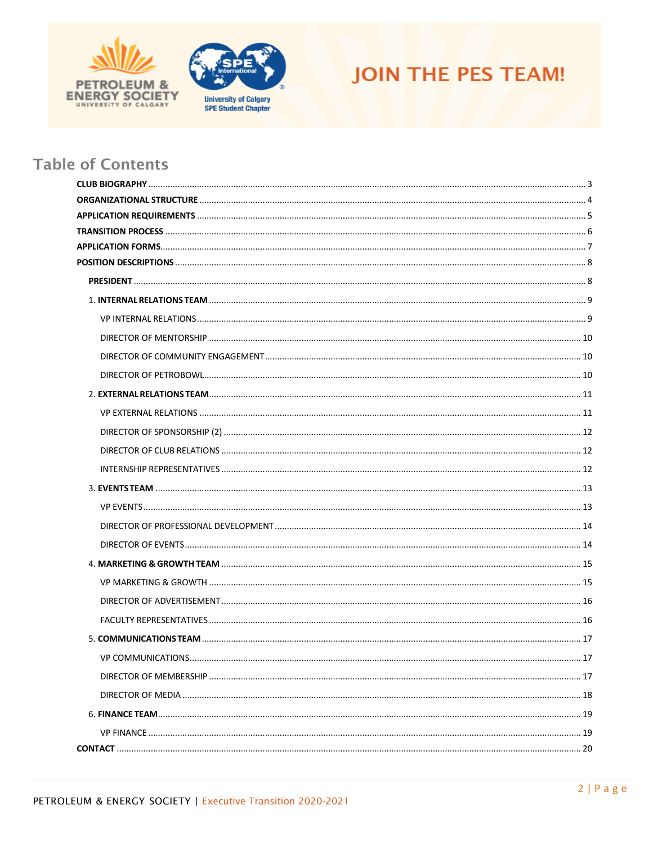





# **Table of Contents**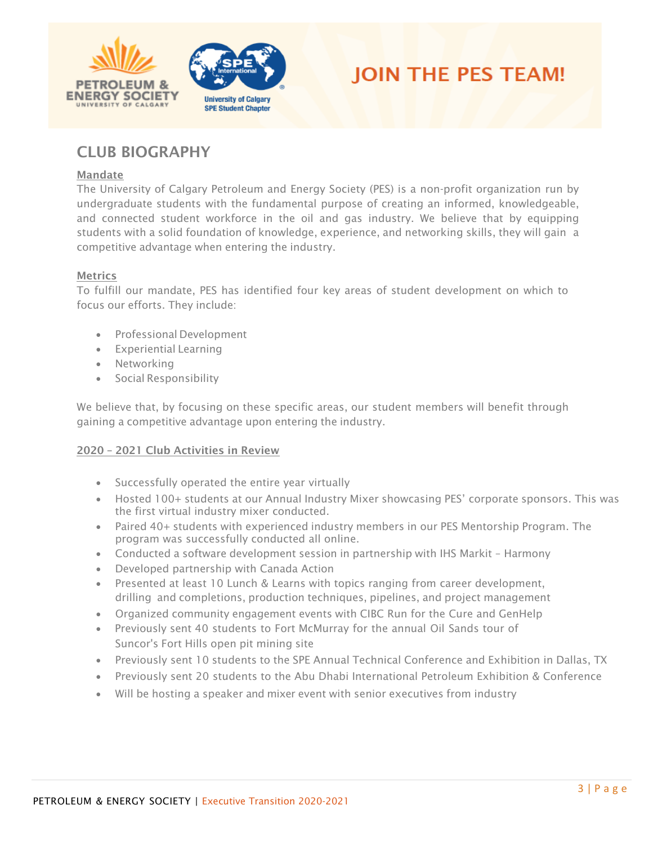





# <span id="page-2-0"></span>CLUB BIOGRAPHY

#### Mandate

The University of Calgary Petroleum and Energy Society (PES) is a non-profit organization run by undergraduate students with the fundamental purpose of creating an informed, knowledgeable, and connected student workforce in the oil and gas industry. We believe that by equipping students with a solid foundation of knowledge, experience, and networking skills, they will gain a competitive advantage when entering the industry.

#### **Metrics**

To fulfill our mandate, PES has identified four key areas of student development on which to focus our efforts. They include:

- Professional Development
- Experiential Learning
- Networking
- Social Responsibility

We believe that, by focusing on these specific areas, our student members will benefit through gaining a competitive advantage upon entering the industry.

#### 2020 – 2021 Club Activities in Review

- Successfully operated the entire year virtually
- Hosted 100+ students at our Annual Industry Mixer showcasing PES' corporate sponsors. This was the first virtual industry mixer conducted.
- Paired 40+ students with experienced industry members in our PES Mentorship Program. The program was successfully conducted all online.
- Conducted a software development session in partnership with IHS Markit Harmony
- Developed partnership with Canada Action
- Presented at least 10 Lunch & Learns with topics ranging from career development, drilling and completions, production techniques, pipelines, and project management
- Organized community engagement events with CIBC Run for the Cure and GenHelp
- Previously sent 40 students to Fort McMurray for the annual Oil Sands tour of Suncor's Fort Hills open pit mining site
- Previously sent 10 students to the SPE Annual Technical Conference and Exhibition in Dallas, TX
- Previously sent 20 students to the Abu Dhabi International Petroleum Exhibition & Conference
- Will be hosting a speaker and mixer event with senior executives from industry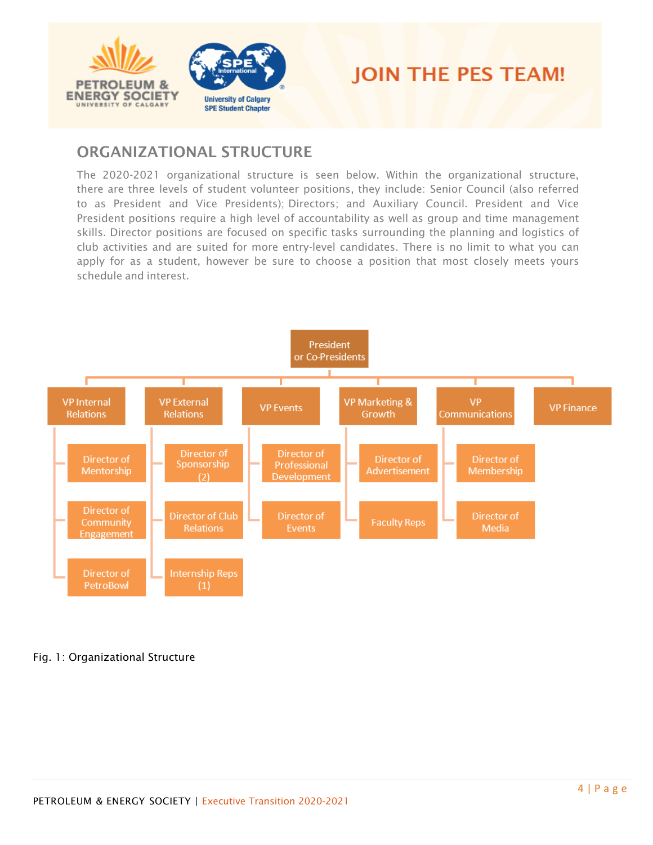



# <span id="page-3-0"></span>ORGANIZATIONAL STRUCTURE

The 2020-2021 organizational structure is seen below. Within the organizational structure, there are three levels of student volunteer positions, they include: Senior Council (also referred to as President and Vice Presidents); Directors; and Auxiliary Council. President and Vice President positions require a high level of accountability as well as group and time management skills. Director positions are focused on specific tasks surrounding the planning and logistics of club activities and are suited for more entry-level candidates. There is no limit to what you can apply for as a student, however be sure to choose a position that most closely meets yours schedule and interest.



### Fig. 1: Organizational Structure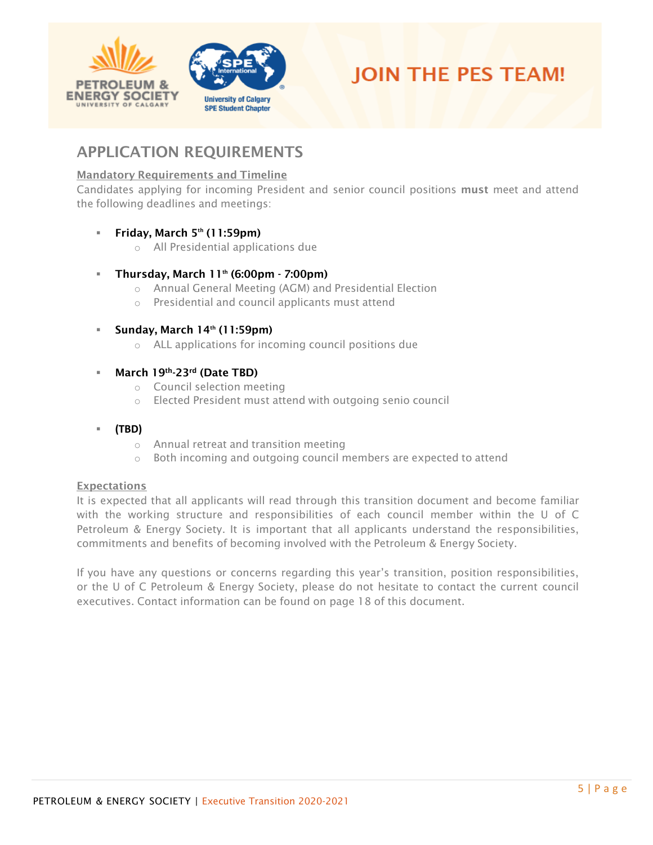



# <span id="page-4-0"></span>APPLICATION REQUIREMENTS

### Mandatory Requirements and Timeline

Candidates applying for incoming President and senior council positions must meet and attend the following deadlines and meetings:

### ■ Friday, March 5th (11:59pm)

o All Presidential applications due

### ■ Thursday, March 11<sup>th</sup> (6:00pm - 7:00pm)

- o Annual General Meeting (AGM) and Presidential Election
- o Presidential and council applicants must attend

#### Sunday, March  $14<sup>th</sup>$  (11:59pm)

o ALL applications for incoming council positions due

#### March 19th-23rd (Date TBD)

- o Council selection meeting
- o Elected President must attend with outgoing senio council

#### ▪ **(TBD)**

- o Annual retreat and transition meeting
- o Both incoming and outgoing council members are expected to attend

#### **Expectations**

It is expected that all applicants will read through this transition document and become familiar with the working structure and responsibilities of each council member within the U of C Petroleum & Energy Society. It is important that all applicants understand the responsibilities, commitments and benefits of becoming involved with the Petroleum & Energy Society.

If you have any questions or concerns regarding this year's transition, position responsibilities, or the U of C Petroleum & Energy Society, please do not hesitate to contact the current council executives. Contact information can be found on page 18 of this document.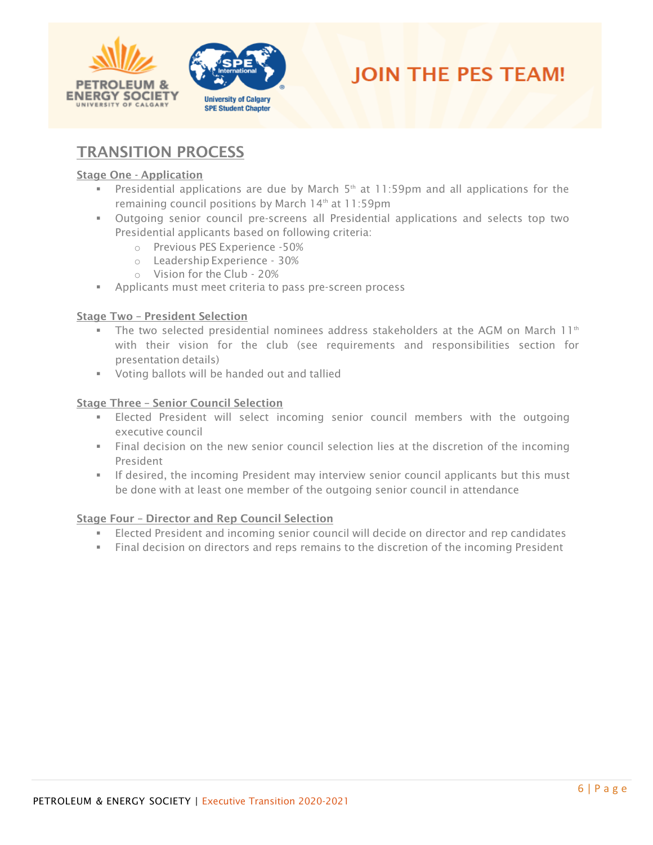





# <span id="page-5-0"></span>TRANSITION PROCESS

#### Stage One - Application

- **•** Presidential applications are due by March  $5<sup>th</sup>$  at 11:59pm and all applications for the remaining council positions by March 14<sup>th</sup> at 11:59pm
- Outgoing senior council pre-screens all Presidential applications and selects top two Presidential applicants based on following criteria:
	- o Previous PES Experience -50%
	- o Leadership Experience 30%
	- o Vision for the Club 20%
- Applicants must meet criteria to pass pre-screen process

#### Stage Two – President Selection

- $\blacksquare$  The two selected presidential nominees address stakeholders at the AGM on March 11<sup>th</sup> with their vision for the club (see requirements and responsibilities section for presentation details)
- Voting ballots will be handed out and tallied

#### Stage Three – Senior Council Selection

- **Elected President will select incoming senior council members with the outgoing** executive council
- Final decision on the new senior council selection lies at the discretion of the incoming President
- **•** If desired, the incoming President may interview senior council applicants but this must be done with at least one member of the outgoing senior council in attendance

#### Stage Four – Director and Rep Council Selection

- Elected President and incoming senior council will decide on director and rep candidates
- Final decision on directors and reps remains to the discretion of the incoming President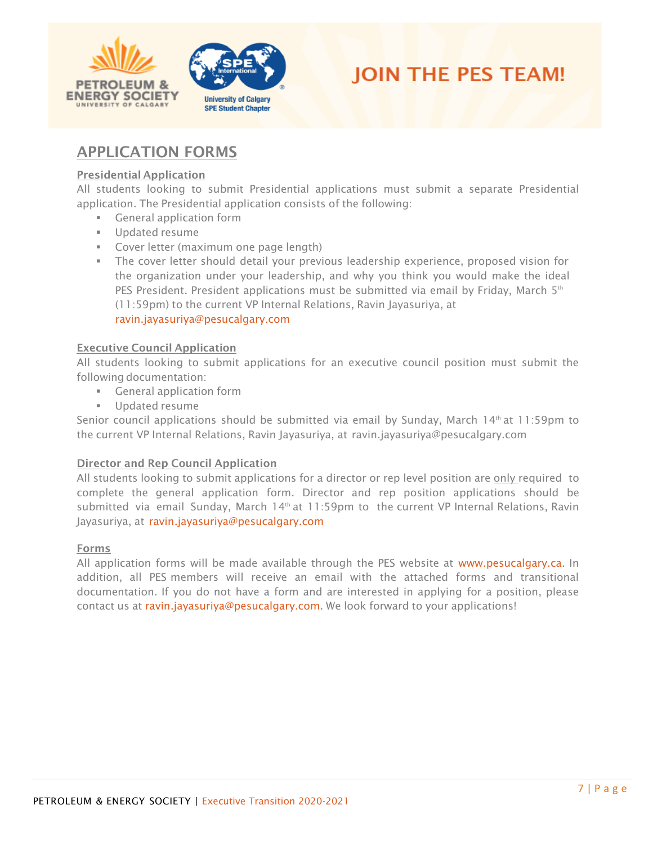



# <span id="page-6-0"></span>APPLICATION FORMS

#### Presidential Application

All students looking to submit Presidential applications must submit a separate Presidential application. The Presidential application consists of the following:

- General application form
- Updated resume
- **EXECOVER LETTER COVER 18 FOR LAKE COVER 18 FOR THE COVER 18 FOR THE COVER 18 FOR THE COVER 18 FOR THE COVER THE COVER THE COVER THE COVER THE COVER THE COVER THE COVER THE COVER THE COVER THE COVER THE COVER THE COVER THE**
- **E** The cover letter should detail your previous leadership experience, proposed vision for the organization under your leadership, and why you think you would make the ideal PES President. President applications must be submitted via email by Friday, March  $5^{th}$ (11:59pm) to the current VP Internal Relations, Ravin Jayasuriya, at ravin.jayasuriya@pesucalgary.com

#### Executive Council Application

All students looking to submit applications for an executive council position must submit the following documentation:

- **EXEC** General application form
- Updated resume

Senior council applications should be submitted via email by Sunday, March  $14<sup>th</sup>$  at 11:59pm to the current VP Internal Relations, Ravin Jayasuriya, at ravin.jayasuriya@pesucalgary.com

#### Director and Rep Council Application

All students looking to submit applications for a director or rep level position are only required to complete the general application form. Director and rep position applications should be submitted via email Sunday, March  $14<sup>th</sup>$  at 11:59pm to the current VP Internal Relations, Ravin Jayasuriya, at ravin.jayasuriya@pesucalgary.com

#### Forms

All application forms will be made available through the PES website at [www.pesucalgary.ca.](http://www.pesucalgary.ca/) In addition, all PES members will receive an email with the attached forms and transitional documentation. If you do not have a form and are interested in applying for a position, please contact us at ravin.jayasuriya@pesucalgary.com. We look forward to your applications!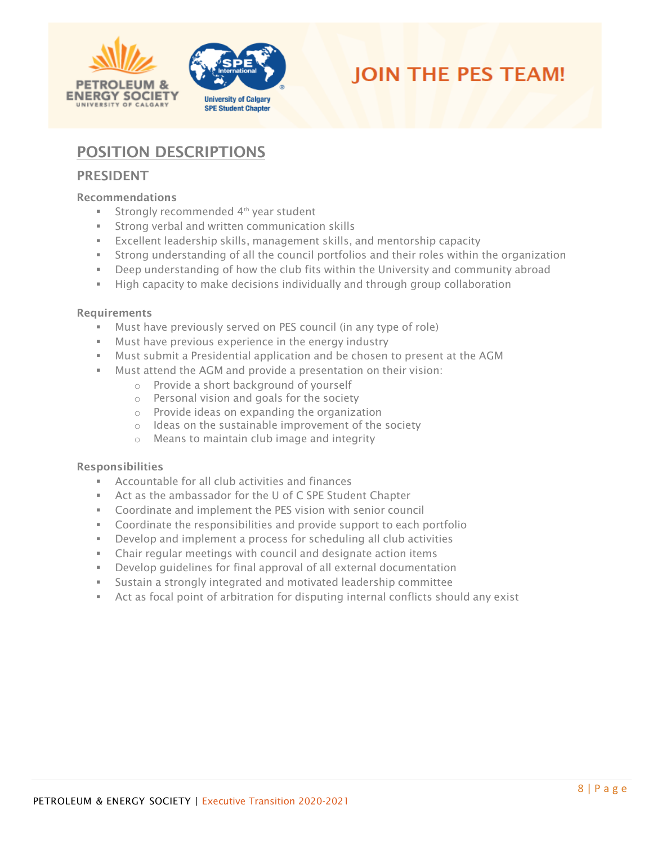



# <span id="page-7-0"></span>POSITION DESCRIPTIONS

## <span id="page-7-1"></span>PRESIDENT

#### Recommendations

- Strongly recommended 4<sup>th</sup> year student
- Strong verbal and written communication skills
- Excellent leadership skills, management skills, and mentorship capacity
- **EXECT** Strong understanding of all the council portfolios and their roles within the organization
- **•** Deep understanding of how the club fits within the University and community abroad
- **E** High capacity to make decisions individually and through group collaboration

#### Requirements

- Must have previously served on PES council (in any type of role)
- Must have previous experience in the energy industry
- **■** Must submit a Presidential application and be chosen to present at the AGM
- Must attend the AGM and provide a presentation on their vision:
	- o Provide a short background of yourself
	- o Personal vision and goals for the society
	- o Provide ideas on expanding the organization
	- o Ideas on the sustainable improvement of the society
	- o Means to maintain club image and integrity

- Accountable for all club activities and finances
- Act as the ambassador for the U of C SPE Student Chapter
- Coordinate and implement the PES vision with senior council
- Coordinate the responsibilities and provide support to each portfolio
- Develop and implement a process for scheduling all club activities
- Chair regular meetings with council and designate action items
- Develop quidelines for final approval of all external documentation
- Sustain a strongly integrated and motivated leadership committee
- **EXECT** Act as focal point of arbitration for disputing internal conflicts should any exist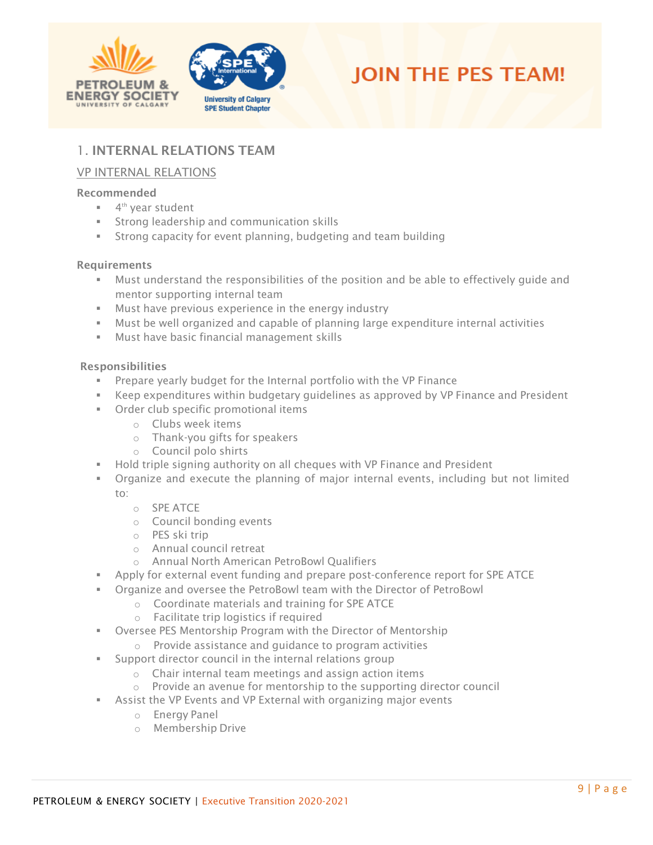



# <span id="page-8-0"></span>1. INTERNAL RELATIONS TEAM

## <span id="page-8-1"></span>VP INTERNAL RELATIONS

#### Recommended

- 4<sup>th</sup> year student
- **EXECT** Strong leadership and communication skills
- **EXECT** Strong capacity for event planning, budgeting and team building

#### **Requirements**

- **■** Must understand the responsibilities of the position and be able to effectively quide and mentor supporting internal team
- Must have previous experience in the energy industry
- Must be well organized and capable of planning large expenditure internal activities
- Must have basic financial management skills

- Prepare yearly budget for the Internal portfolio with the VP Finance
- Keep expenditures within budgetary quidelines as approved by VP Finance and President
- Order club specific promotional items
	- o Clubs week items
	- o Thank-you gifts for speakers
	- o Council polo shirts
- **EXECT** Hold triple signing authority on all cheques with VP Finance and President
- Organize and execute the planning of major internal events, including but not limited to:
	- o SPE ATCE
	- o Council bonding events
	- o PES ski trip
	- o Annual council retreat
	- o Annual North American PetroBowl Qualifiers
- Apply for external event funding and prepare post-conference report for SPE ATCE
- Organize and oversee the PetroBowl team with the Director of PetroBowl
	- o Coordinate materials and training for SPE ATCE
	- o Facilitate trip logistics if required
- **EXED THE OVERSEE PES Mentorship Program with the Director of Mentorship** 
	- o Provide assistance and guidance to program activities
- **Support director council in the internal relations group** 
	- o Chair internal team meetings and assign action items
	- o Provide an avenue for mentorship to the supporting director council
- <span id="page-8-2"></span>**EXE** Assist the VP Events and VP External with organizing major events
	- o Energy Panel
	- o Membership Drive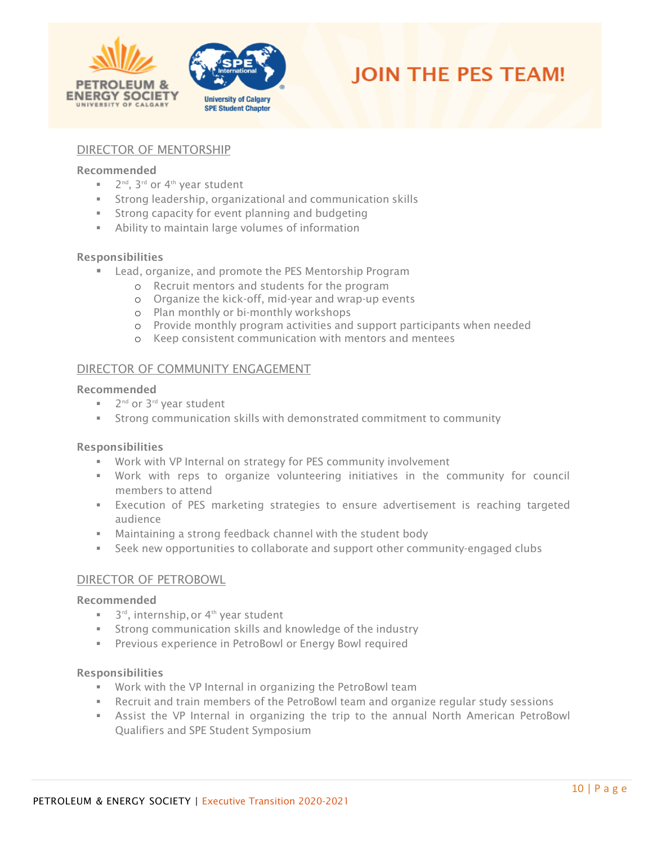



#### DIRECTOR OF MENTORSHIP

#### Recommended

- 2<sup>nd</sup>, 3<sup>rd</sup> or 4<sup>th</sup> year student
- **EXTERGHEE** Strong leadership, organizational and communication skills
- Strong capacity for event planning and budgeting
- **EXED** Ability to maintain large volumes of information

#### Responsibilities

- Lead, organize, and promote the PES Mentorship Program
	- o Recruit mentors and students for the program
	- o Organize the kick-off, mid-year and wrap-up events
	- o Plan monthly or bi-monthly workshops
	- o Provide monthly program activities and support participants when needed
	- o Keep consistent communication with mentors and mentees

#### <span id="page-9-0"></span>DIRECTOR OF COMMUNITY ENGAGEMENT

#### Recommended

- 2<sup>nd</sup> or 3<sup>rd</sup> year student
- Strong communication skills with demonstrated commitment to community

#### Responsibilities

- Work with VP Internal on strategy for PES community involvement
- Work with reps to organize volunteering initiatives in the community for council members to attend
- **EXECUTERFIERG** of PES marketing strategies to ensure advertisement is reaching targeted audience
- Maintaining a strong feedback channel with the student body
- **EXECT** Seek new opportunities to collaborate and support other community-engaged clubs

#### <span id="page-9-1"></span>DIRECTOR OF PETROBOWL

#### Recommended

- $\blacksquare$  3<sup>rd</sup>, internship, or 4<sup>th</sup> year student
- **EXTENGE COMMUNICATION SKILLS AND KNOWLED AND STATE IN STATE IN STATE IN STATE IN STATE IN STATE IN STATE IN ST**
- **EXECT** Previous experience in PetroBowl or Energy Bowl required

- Work with the VP Internal in organizing the PetroBowl team
- **EXECT** Recruit and train members of the PetroBowl team and organize regular study sessions
- **EXECT Assist the VP Internal in organizing the trip to the annual North American PetroBowl** Qualifiers and SPE Student Symposium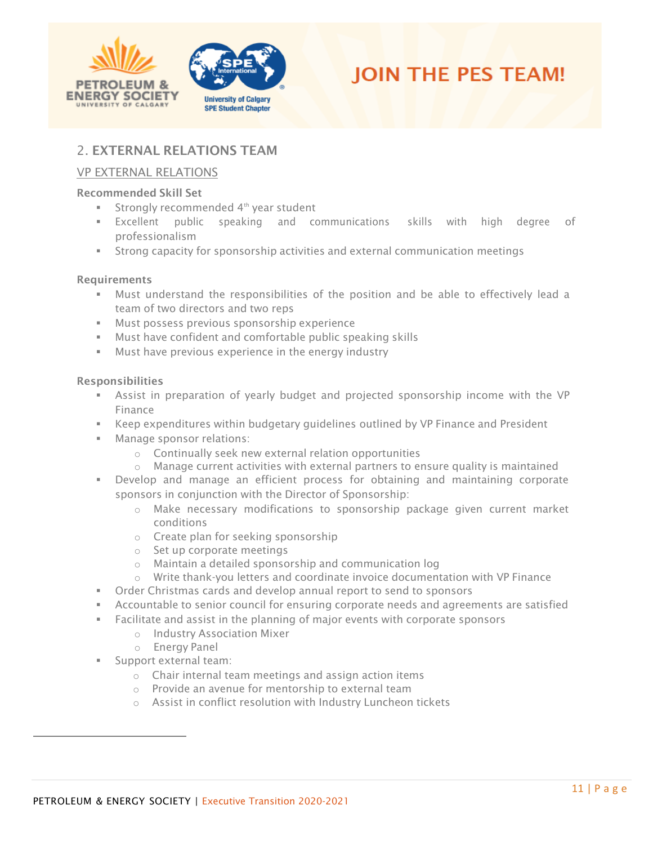



## <span id="page-10-0"></span>2. EXTERNAL RELATIONS TEAM

### <span id="page-10-1"></span>VP EXTERNAL RELATIONS

#### Recommended Skill Set

- Strongly recommended 4<sup>th</sup> year student
- Excellent public speaking and communications skills with high degree of professionalism
- **EXECT** Strong capacity for sponsorship activities and external communication meetings

#### Requirements

- Must understand the responsibilities of the position and be able to effectively lead a team of two directors and two reps
- Must possess previous sponsorship experience
- Must have confident and comfortable public speaking skills
- **■** Must have previous experience in the energy industry

- Assist in preparation of yearly budget and projected sponsorship income with the VP Finance
- **EXECT** Keep expenditures within budgetary guidelines outlined by VP Finance and President
- Manage sponsor relations:
	- o Continually seek new external relation opportunities
	- $\circ$  Manage current activities with external partners to ensure quality is maintained
- Develop and manage an efficient process for obtaining and maintaining corporate sponsors in conjunction with the Director of Sponsorship:
	- o Make necessary modifications to sponsorship package given current market conditions
	- o Create plan for seeking sponsorship
	- o Set up corporate meetings
	- o Maintain a detailed sponsorship and communication log
	- o Write thank-you letters and coordinate invoice documentation with VP Finance
- **•** Order Christmas cards and develop annual report to send to sponsors
- **EXECOUNTABLE TO SENIOUS COUNCIL FOR EXAM** corporate needs and agreements are satisfied
- Facilitate and assist in the planning of major events with corporate sponsors
	- o Industry Association Mixer
	- o Energy Panel
- Support external team:
	- o Chair internal team meetings and assign action items
	- o Provide an avenue for mentorship to external team
	- o Assist in conflict resolution with Industry Luncheon tickets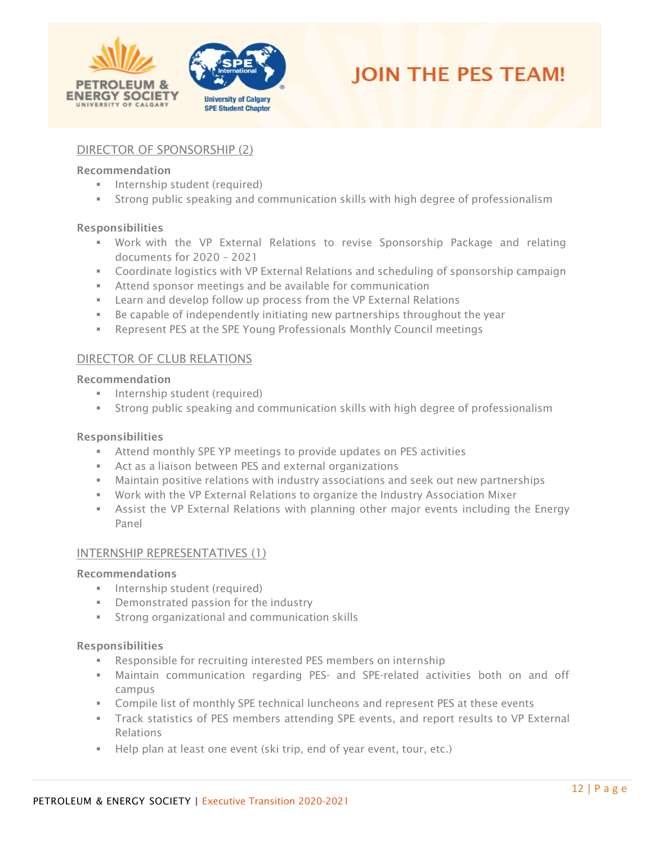



### <span id="page-11-0"></span>DIRECTOR OF SPONSORSHIP (2)

#### Recommendation

- **·** Internship student (required)
- **EXECT** Strong public speaking and communication skills with high degree of professionalism

#### Responsibilities

- Work with the VP External Relations to revise Sponsorship Package and relating documents for 2020 – 2021
- **Coordinate logistics with VP External Relations and scheduling of sponsorship campaign**
- Attend sponsor meetings and be available for communication
- Learn and develop follow up process from the VP External Relations
- **EXED** Be capable of independently initiating new partnerships throughout the year
- Represent PES at the SPE Young Professionals Monthly Council meetings

#### <span id="page-11-1"></span>DIRECTOR OF CLUB RELATIONS

#### Recommendation

- **·** Internship student (required)
- **EXECT** Strong public speaking and communication skills with high degree of professionalism

#### Responsibilities

- **EXECT** Attend monthly SPE YP meetings to provide updates on PES activities
- Act as a liaison between PES and external organizations
- **■** Maintain positive relations with industry associations and seek out new partnerships
- Work with the VP External Relations to organize the Industry Association Mixer
- **EXECT** Assist the VP External Relations with planning other major events including the Energy Panel

#### <span id="page-11-2"></span>INTERNSHIP REPRESENTATIVES (1)

#### Recommendations

- **·** Internship student (required)
- Demonstrated passion for the industry
- **EXECTE:** Strong organizational and communication skills

- Responsible for recruiting interested PES members on internship
- **■** Maintain communication regarding PES- and SPE-related activities both on and off campus
- **EXECOMPHIST COMPTED EXECUTE:** Compile list of monthly SPE technical luncheons and represent PES at these events
- **•** Track statistics of PES members attending SPE events, and report results to VP External Relations
- Help plan at least one event (ski trip, end of year event, tour, etc.)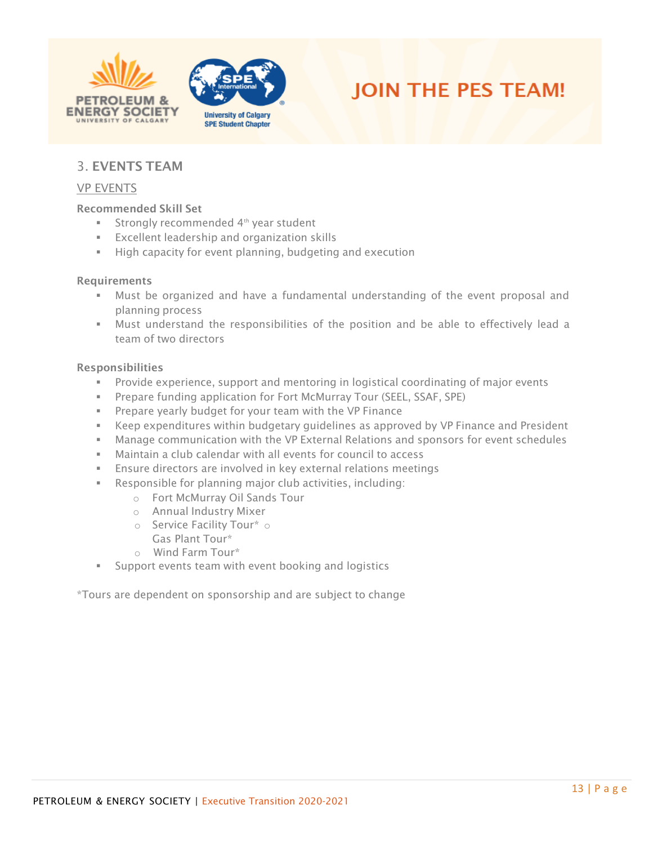





## <span id="page-12-0"></span>3. EVENTS TEAM

#### <span id="page-12-1"></span>VP EVENTS

#### Recommended Skill Set

- Strongly recommended 4<sup>th</sup> year student
- Excellent leadership and organization skills
- High capacity for event planning, budgeting and execution

#### Requirements

- Must be organized and have a fundamental understanding of the event proposal and planning process
- Must understand the responsibilities of the position and be able to effectively lead a team of two directors

#### Responsibilities

- **EXP** Provide experience, support and mentoring in logistical coordinating of major events
- Prepare funding application for Fort McMurray Tour (SEEL, SSAF, SPE)
- **EXECT** Prepare yearly budget for your team with the VP Finance
- **EX** Keep expenditures within budgetary guidelines as approved by VP Finance and President
- **■** Manage communication with the VP External Relations and sponsors for event schedules
- Maintain a club calendar with all events for council to access
- **Ensure directors are involved in key external relations meetings**
- Responsible for planning major club activities, including:
	- o Fort McMurray Oil Sands Tour
	- o Annual Industry Mixer
	- o Service Facility Tour\* o Gas Plant Tour\*
	- o Wind Farm Tour\*
- Support events team with event booking and logistics

<span id="page-12-2"></span>\*Tours are dependent on sponsorship and are subject to change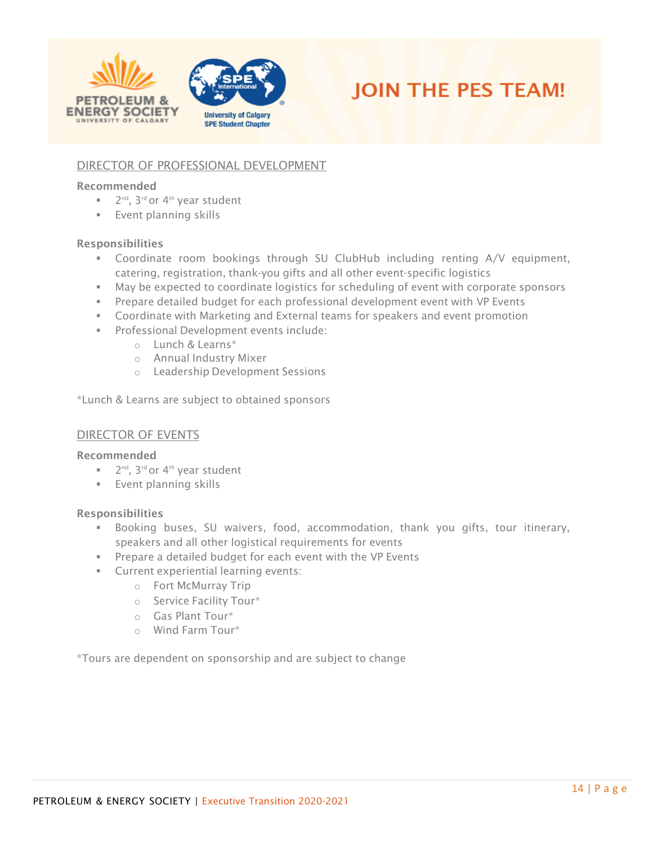



## DIRECTOR OF PROFESSIONAL DEVELOPMENT

#### Recommended

- 2<sup>nd</sup>, 3<sup>rd</sup> or 4<sup>th</sup> year student
- **Event planning skills**

#### Responsibilities

- Coordinate room bookings through SU ClubHub including renting A/V equipment, catering, registration, thank-you gifts and all other event-specific logistics
- May be expected to coordinate logistics for scheduling of event with corporate sponsors
- **•** Prepare detailed budget for each professional development event with VP Events
- **•** Coordinate with Marketing and External teams for speakers and event promotion
- Professional Development events include:
	- o Lunch & Learns\*
	- o Annual Industry Mixer
	- o Leadership Development Sessions

\*Lunch & Learns are subject to obtained sponsors

#### <span id="page-13-0"></span>DIRECTOR OF EVENTS

#### Recommended

- 2<sup>nd</sup>, 3<sup>rd</sup> or 4<sup>th</sup> year student
- **Event planning skills**

#### Responsibilities

- Booking buses, SU waivers, food, accommodation, thank you gifts, tour itinerary, speakers and all other logistical requirements for events
- Prepare a detailed budget for each event with the VP Events
- **EXECUTE:** Current experiential learning events:
	- o Fort McMurray Trip
	- o Service Facility Tour\*
	- o Gas Plant Tour\*
	- o Wind Farm Tour\*

<span id="page-13-1"></span>\*Tours are dependent on sponsorship and are subject to change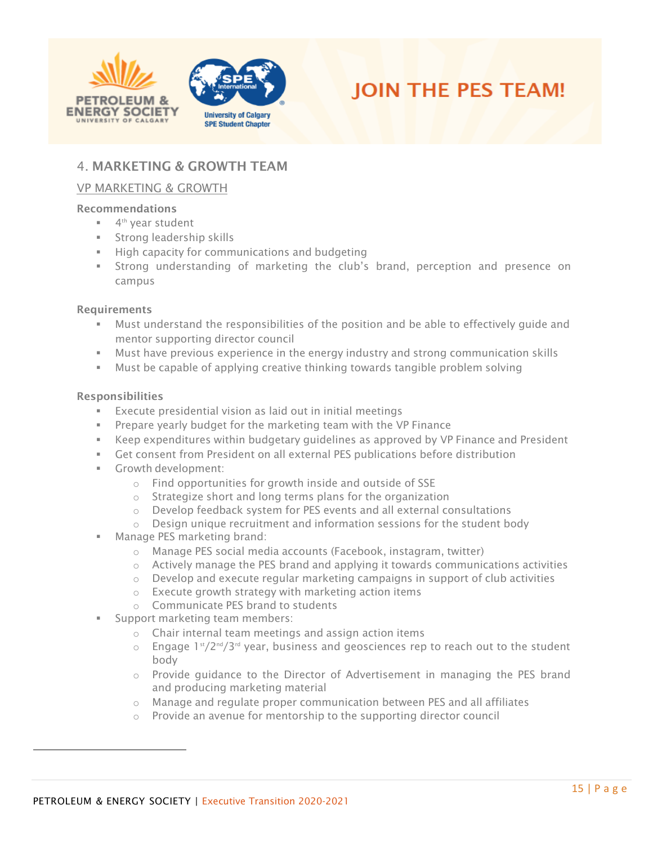



## 4. MARKETING & GROWTH TEAM

## <span id="page-14-0"></span>VP MARKETING & GROWTH

#### Recommendations

- 4<sup>th</sup> year student
- Strong leadership skills
- **■** High capacity for communications and budgeting
- Strong understanding of marketing the club's brand, perception and presence on campus

#### **Requirements**

- **■** Must understand the responsibilities of the position and be able to effectively quide and mentor supporting director council
- **■** Must have previous experience in the energy industry and strong communication skills
- Must be capable of applying creative thinking towards tangible problem solving

- Execute presidential vision as laid out in initial meetings
- **Prepare yearly budget for the marketing team with the VP Finance**
- Keep expenditures within budgetary guidelines as approved by VP Finance and President
- Get consent from President on all external PES publications before distribution
- Growth development:
	- o Find opportunities for growth inside and outside of SSE
	- o Strategize short and long terms plans for the organization
	- o Develop feedback system for PES events and all external consultations
	- o Design unique recruitment and information sessions for the student body
- Manage PES marketing brand:
	- o Manage PES social media accounts (Facebook, instagram, twitter)
	- $\circ$  Actively manage the PES brand and applying it towards communications activities
	- $\circ$  Develop and execute regular marketing campaigns in support of club activities
	- o Execute growth strategy with marketing action items
	- o Communicate PES brand to students
- Support marketing team members:
	- o Chair internal team meetings and assign action items
	- $\circ$  Engage 1st/2<sup>nd</sup>/3<sup>rd</sup> year, business and geosciences rep to reach out to the student body
	- o Provide guidance to the Director of Advertisement in managing the PES brand and producing marketing material
	- $\circ$  Manage and regulate proper communication between PES and all affiliates
	- o Provide an avenue for mentorship to the supporting director council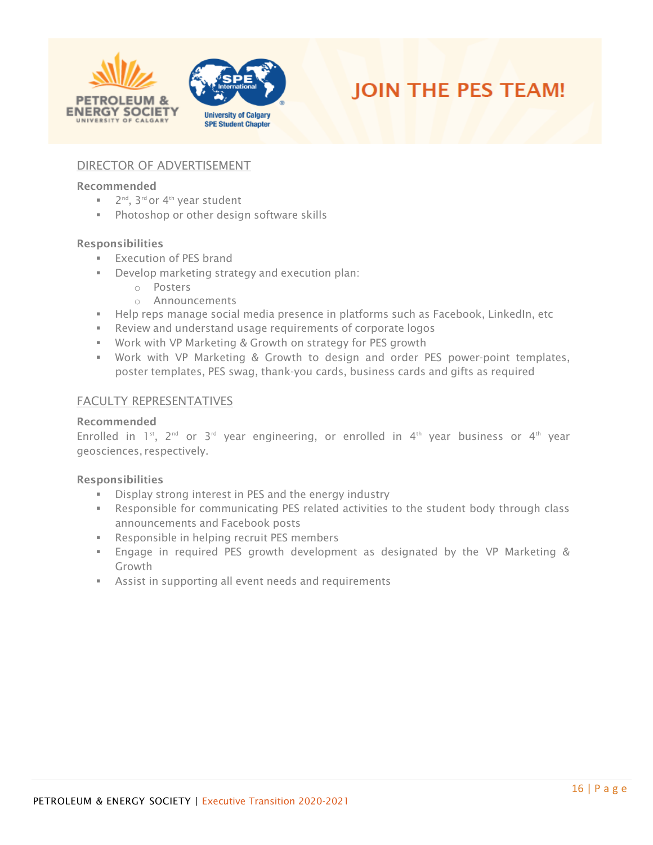





### <span id="page-15-0"></span>DIRECTOR OF ADVERTISEMENT

#### Recommended

- 2<sup>nd</sup>, 3<sup>rd</sup> or 4<sup>th</sup> year student
- Photoshop or other design software skills

#### Responsibilities

- **Execution of PES brand**
- Develop marketing strategy and execution plan:
	- o Posters
	- o Announcements
- **EXECT** Help reps manage social media presence in platforms such as Facebook, LinkedIn, etc
- Review and understand usage requirements of corporate logos
- Work with VP Marketing & Growth on strategy for PES growth
- Work with VP Marketing & Growth to design and order PES power-point templates, poster templates, PES swag, thank-you cards, business cards and gifts as required

#### <span id="page-15-1"></span>FACULTY REPRESENTATIVES

#### Recommended

Enrolled in 1<sup>st</sup>, 2<sup>nd</sup> or 3<sup>rd</sup> year engineering, or enrolled in 4<sup>th</sup> year business or 4<sup>th</sup> year geosciences, respectively.

- **EXECT** Display strong interest in PES and the energy industry
- **EXECT** Responsible for communicating PES related activities to the student body through class announcements and Facebook posts
- Responsible in helping recruit PES members
- Engage in required PES growth development as designated by the VP Marketing & Growth
- **EXE** Assist in supporting all event needs and requirements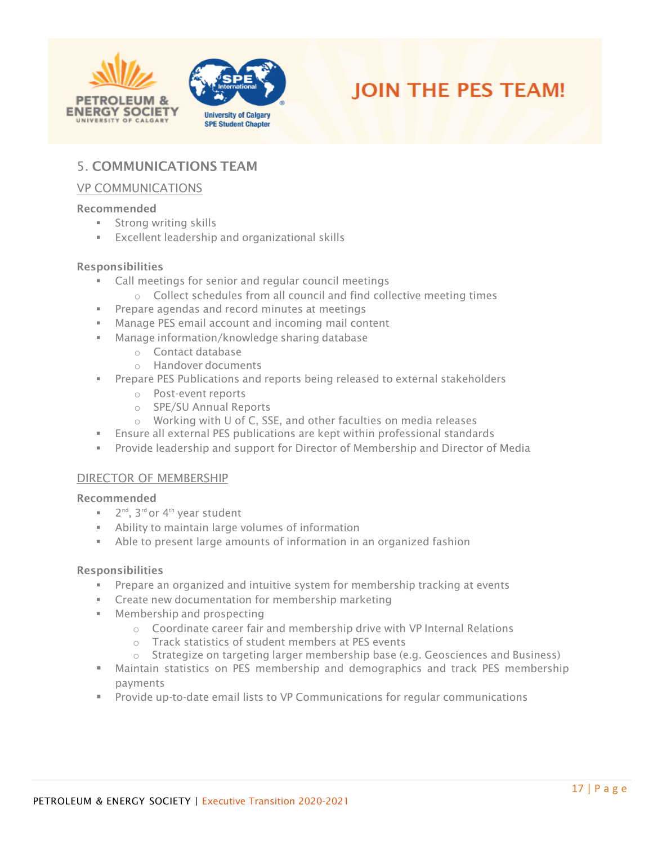





## <span id="page-16-0"></span>5. COMMUNICATIONS TEAM

#### <span id="page-16-1"></span>VP COMMUNICATIONS

#### Recommended

- **EXECUTE:** Strong writing skills
- Excellent leadership and organizational skills

#### Responsibilities

- Call meetings for senior and regular council meetings
- o Collect schedules from all council and find collective meeting times
- Prepare agendas and record minutes at meetings
- Manage PES email account and incoming mail content
- Manage information/knowledge sharing database
	- o Contact database
	- o Handover documents
- **•** Prepare PES Publications and reports being released to external stakeholders
	- o Post-event reports
	- o SPE/SU Annual Reports
	- o Working with U of C, SSE, and other faculties on media releases
- **Ensure all external PES publications are kept within professional standards**
- Provide leadership and support for Director of Membership and Director of Media

#### <span id="page-16-2"></span>DIRECTOR OF MEMBERSHIP

#### Recommended

- 2<sup>nd</sup>, 3<sup>rd</sup> or 4<sup>th</sup> year student
- Ability to maintain large volumes of information
- Able to present large amounts of information in an organized fashion

- **•** Prepare an organized and intuitive system for membership tracking at events
- **EXECTE 2** Create new documentation for membership marketing
- Membership and prospecting
	- o Coordinate career fair and membership drive with VP Internal Relations
	- o Track statistics of student members at PES events
	- o Strategize on targeting larger membership base (e.g. Geosciences and Business)
- Maintain statistics on PES membership and demographics and track PES membership payments
- Provide up-to-date email lists to VP Communications for regular communications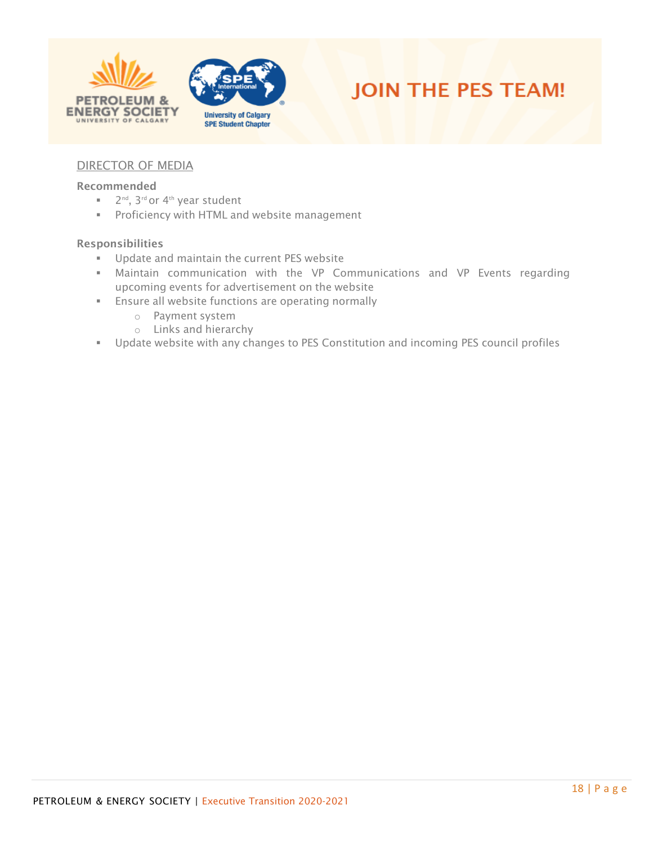





## <span id="page-17-0"></span>DIRECTOR OF MEDIA

#### Recommended

- 2<sup>nd</sup>, 3<sup>rd</sup> or 4<sup>th</sup> year student
- **Proficiency with HTML and website management**

- **■** Update and maintain the current PES website
- **■** Maintain communication with the VP Communications and VP Events regarding upcoming events for advertisement on the website
- **Ensure all website functions are operating normally** 
	- o Payment system
	- o Links and hierarchy
- Update website with any changes to PES Constitution and incoming PES council profiles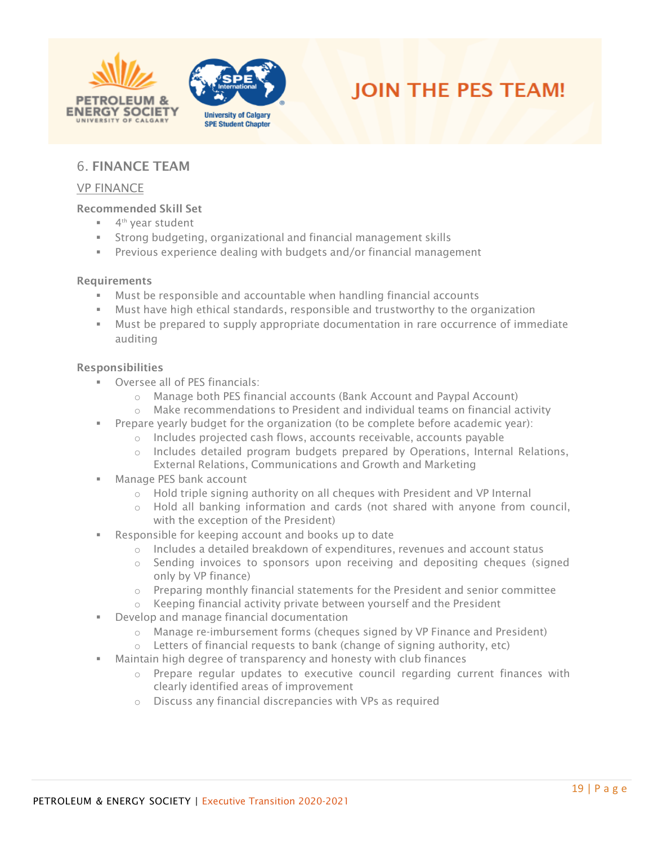





## <span id="page-18-0"></span>6. FINANCE TEAM

#### <span id="page-18-1"></span>VP FINANCE

#### Recommended Skill Set

- 4<sup>th</sup> year student
- Strong budgeting, organizational and financial management skills
- Previous experience dealing with budgets and/or financial management

#### Requirements

- Must be responsible and accountable when handling financial accounts
- Must have high ethical standards, responsible and trustworthy to the organization
- Must be prepared to supply appropriate documentation in rare occurrence of immediate auditing

- Oversee all of PES financials:
	- o Manage both PES financial accounts (Bank Account and Paypal Account)
	- $\circ$  Make recommendations to President and individual teams on financial activity
- Prepare yearly budget for the organization (to be complete before academic year):
	- o Includes projected cash flows, accounts receivable, accounts payable
	- o Includes detailed program budgets prepared by Operations, Internal Relations, External Relations, Communications and Growth and Marketing
- Manage PES bank account
	- o Hold triple signing authority on all cheques with President and VP Internal
	- $\circ$  Hold all banking information and cards (not shared with anyone from council, with the exception of the President)
- Responsible for keeping account and books up to date
	- $\circ$  Includes a detailed breakdown of expenditures, revenues and account status
	- o Sending invoices to sponsors upon receiving and depositing cheques (signed only by VP finance)
	- $\circ$  Preparing monthly financial statements for the President and senior committee
	- o Keeping financial activity private between yourself and the President
- Develop and manage financial documentation
	- $\circ$  Manage re-imbursement forms (cheques signed by VP Finance and President)
	- $\circ$  Letters of financial requests to bank (change of signing authority, etc)
- Maintain high degree of transparency and honesty with club finances
	- $\circ$  Prepare regular updates to executive council regarding current finances with clearly identified areas of improvement
	- o Discuss any financial discrepancies with VPs as required